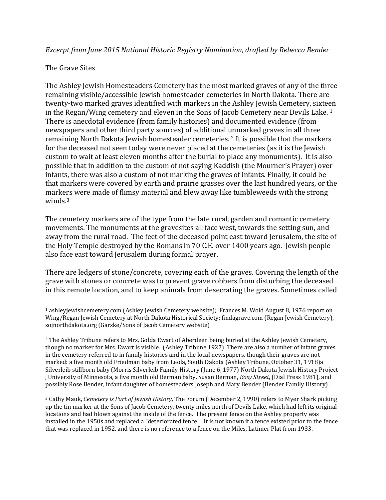## *Excerpt from June 2015 National Historic Registry Nomination, drafted by Rebecca Bender*

## The Grave Sites

The Ashley Jewish Homesteaders Cemetery has the most marked graves of any of the three remaining visible/accessible Jewish homesteader cemeteries in North Dakota. There are twenty-two marked graves identified with markers in the Ashley Jewish Cemetery, sixteen in the Regan/Wing cemetery and eleven in the Sons of Jacob Cemetery near Devils Lake. 1 There is anecdotal evidence (from family histories) and documented evidence (from newspapers and other third party sources) of additional unmarked graves in all three remaining North Dakota Jewish homesteader cemeteries. 2 It is possible that the markers for the deceased not seen today were never placed at the cemeteries (as it is the Jewish custom to wait at least eleven months after the burial to place any monuments). It is also possible that in addition to the custom of not saying Kaddish (the Mourner's Prayer) over infants, there was also a custom of not marking the graves of infants. Finally, it could be that markers were covered by earth and prairie grasses over the last hundred years, or the markers were made of flimsy material and blew away like tumbleweeds with the strong winds.<sup>3</sup>

The cemetery markers are of the type from the late rural, garden and romantic cemetery movements. The monuments at the gravesites all face west, towards the setting sun, and away from the rural road. The feet of the deceased point east toward Jerusalem, the site of the Holy Temple destroyed by the Romans in 70 C.E. over 1400 years ago. Jewish people also face east toward Jerusalem during formal prayer.

There are ledgers of stone/concrete, covering each of the graves. Covering the length of the grave with stones or concrete was to prevent grave robbers from disturbing the deceased in this remote location, and to keep animals from desecrating the graves. Sometimes called

3 Cathy Mauk, *Cemetery is Part of Jewish History*, The Forum (December 2, 1990) refers to Myer Shark picking up the tin marker at the Sons of Jacob Cemetery, twenty miles north of Devils Lake, which had left its original locations and had blown against the inside of the fence. The present fence on the Ashley property was installed in the 1950s and replaced a "deteriorated fence." It is not known if a fence existed prior to the fence that was replaced in 1952, and there is no reference to a fence on the Miles, Latimer Plat from 1933.

<sup>1</sup> ashleyjewishcemetery.com (Ashley Jewish Cemetery website); Frances M. Wold August 8, 1976 report on Wing/Regan Jewish Cemetery at North Dakota Historical Society; findagrave.com (Regan Jewish Cemetery), sojnorthdakota.org (Garske/Sons of Jacob Cemetery website)

<sup>2</sup> The Ashley Tribune refers to Mrs. Golda Ewart of Aberdeen being buried at the Ashley Jewish Cemetery, though no marker for Mrs. Ewart is visible. (Ashley Tribune 1927) There are also a number of infant graves in the cemetery referred to in family histories and in the local newspapers, though their graves are not marked: a five month old Friedman baby from Leola, South Dakota (Ashley Tribune, October 31, 1918)a Silverleib stillborn baby (Morris Silverleib Family History (June 6, 1977) North Dakota Jewish History Project , University of Minnesota, a five month old Berman baby, Susan Berman, *Easy Street*, (Dial Press 1981), and possibly Rose Bender, infant daughter of homesteaders Joseph and Mary Bender (Bender Family History) .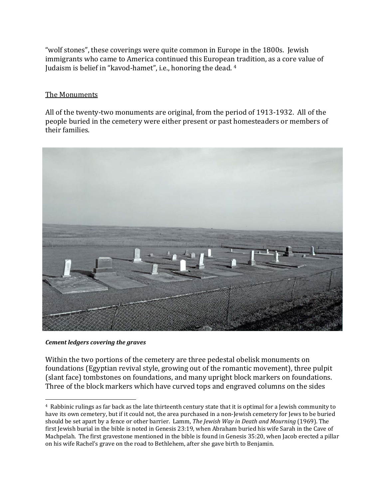"wolf stones", these coverings were quite common in Europe in the 1800s. Jewish immigrants who came to America continued this European tradition, as a core value of Judaism is belief in "kavod-hamet", i.e., honoring the dead. 4

## The Monuments

All of the twenty-two monuments are original, from the period of 1913-1932. All of the people buried in the cemetery were either present or past homesteaders or members of their families.



*Cement ledgers covering the graves*

Within the two portions of the cemetery are three pedestal obelisk monuments on foundations (Egyptian revival style, growing out of the romantic movement), three pulpit (slant face) tombstones on foundations, and many upright block markers on foundations. Three of the block markers which have curved tops and engraved columns on the sides

<sup>4</sup> Rabbinic rulings as far back as the late thirteenth century state that it is optimal for a Jewish community to have its own cemetery, but if it could not, the area purchased in a non-Jewish cemetery for Jews to be buried should be set apart by a fence or other barrier. Lamm, *The Jewish Way in Death and Mourning* (1969). The first Jewish burial in the bible is noted in Genesis 23:19, when Abraham buried his wife Sarah in the Cave of Machpelah. The first gravestone mentioned in the bible is found in Genesis 35:20, when Jacob erected a pillar on his wife Rachel's grave on the road to Bethlehem, after she gave birth to Benjamin.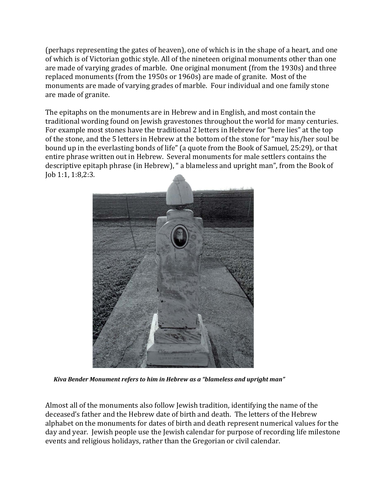(perhaps representing the gates of heaven), one of which is in the shape of a heart, and one of which is of Victorian gothic style. All of the nineteen original monuments other than one are made of varying grades of marble. One original monument (from the 1930s) and three replaced monuments (from the 1950s or 1960s) are made of granite. Most of the monuments are made of varying grades of marble. Four individual and one family stone are made of granite.

The epitaphs on the monuments are in Hebrew and in English, and most contain the traditional wording found on Jewish gravestones throughout the world for many centuries. For example most stones have the traditional 2 letters in Hebrew for "here lies" at the top of the stone, and the 5 letters in Hebrew at the bottom of the stone for "may his/her soul be bound up in the everlasting bonds of life" (a quote from the Book of Samuel, 25:29), or that entire phrase written out in Hebrew. Several monuments for male settlers contains the descriptive epitaph phrase (in Hebrew), " a blameless and upright man", from the Book of Job 1:1, 1:8,2:3.



 *Kiva Bender Monument refers to him in Hebrew as a "blameless and upright man"*

Almost all of the monuments also follow Jewish tradition, identifying the name of the deceased's father and the Hebrew date of birth and death. The letters of the Hebrew alphabet on the monuments for dates of birth and death represent numerical values for the day and year. Jewish people use the Jewish calendar for purpose of recording life milestone events and religious holidays, rather than the Gregorian or civil calendar.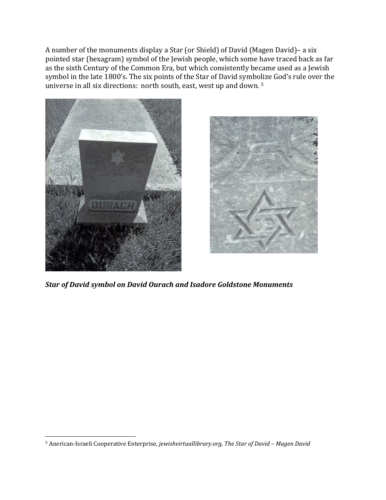A number of the monuments display a Star (or Shield) of David (Magen David)– a six pointed star (hexagram) symbol of the Jewish people, which some have traced back as far as the sixth Century of the Common Era, but which consistently became used as a Jewish symbol in the late 1800's. The six points of the Star of David symbolize God's rule over the universe in all six directions: north south, east, west up and down.<sup>5</sup>





*Star of David symbol on David Ourach and Isadore Goldstone Monuments*

<sup>5</sup> Anerican-Israeli Cooperative Enterprise, *jewishvirtuallibrary.org, The Star of David – Magen David*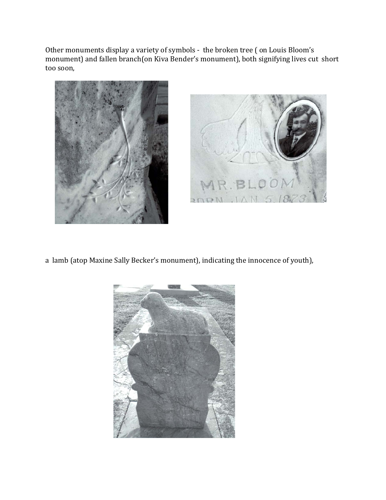Other monuments display a variety of symbols - the broken tree ( on Louis Bloom's monument) and fallen branch(on Kiva Bender's monument), both signifying lives cut short too soon,





a lamb (atop Maxine Sally Becker's monument), indicating the innocence of youth),

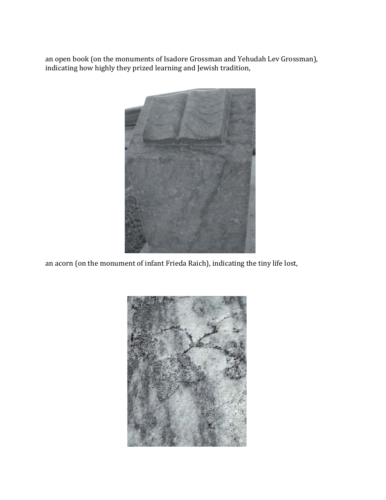an open book (on the monuments of Isadore Grossman and Yehudah Lev Grossman), indicating how highly they prized learning and Jewish tradition,



an acorn (on the monument of infant Frieda Raich), indicating the tiny life lost,

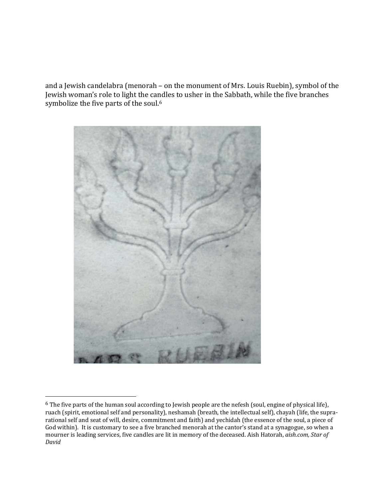and a Jewish candelabra (menorah – on the monument of Mrs. Louis Ruebin), symbol of the Jewish woman's role to light the candles to usher in the Sabbath, while the five branches symbolize the five parts of the soul.<sup>6</sup>



<sup>6</sup> The five parts of the human soul according to Jewish people are the nefesh (soul, engine of physical life), ruach (spirit, emotional self and personality), neshamah (breath, the intellectual self), chayah (life, the suprarational self and seat of will, desire, commitment and faith) and yechidah (the essence of the soul, a piece of God within). It is customary to see a five branched menorah at the cantor's stand at a synagogue, so when a mourner is leading services, five candles are lit in memory of the deceased. Aish Hatorah, *aish.com, Star of David*